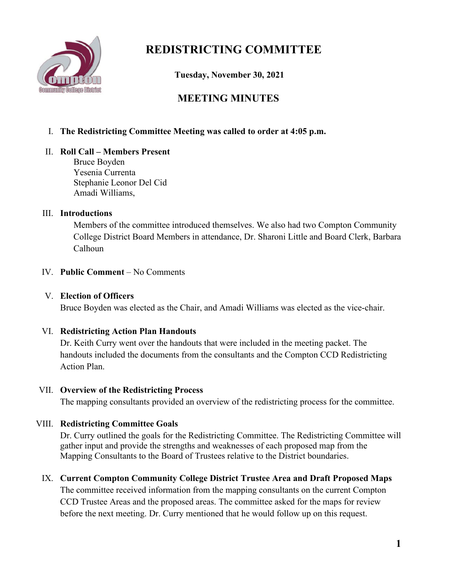

# **REDISTRICTING COMMITTEE**

 **Tuesday, November 30, 2021**

# **MEETING MINUTES**

# I. **The Redistricting Committee Meeting was called to order at 4:05 p.m.**

### II. **Roll Call – Members Present**

Bruce Boyden Yesenia Currenta Stephanie Leonor Del Cid Amadi Williams,

### III. **Introductions**

Members of the committee introduced themselves. We also had two Compton Community College District Board Members in attendance, Dr. Sharoni Little and Board Clerk, Barbara Calhoun

## IV. **Public Comment** – No Comments

# V. **Election of Officers**

Bruce Boyden was elected as the Chair, and Amadi Williams was elected as the vice-chair.

### VI. **Redistricting Action Plan Handouts**

Dr. Keith Curry went over the handouts that were included in the meeting packet. The handouts included the documents from the consultants and the Compton CCD Redistricting Action Plan.

### VII. **Overview of the Redistricting Process**

The mapping consultants provided an overview of the redistricting process for the committee.

# VIII. **Redistricting Committee Goals**

Dr. Curry outlined the goals for the Redistricting Committee. The Redistricting Committee will gather input and provide the strengths and weaknesses of each proposed map from the Mapping Consultants to the Board of Trustees relative to the District boundaries.

### IX. **Current Compton Community College District Trustee Area and Draft Proposed Maps**

The committee received information from the mapping consultants on the current Compton CCD Trustee Areas and the proposed areas. The committee asked for the maps for review before the next meeting. Dr. Curry mentioned that he would follow up on this request.